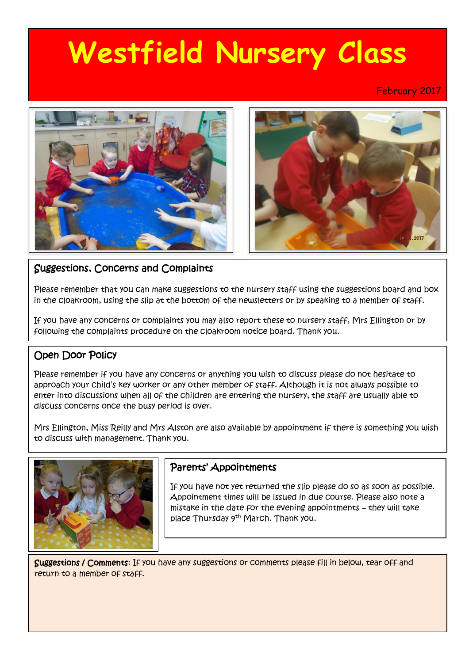# **Westfield Nursery Class**

February 2017



## Suggestions, Concerns and Complaints

Please remember that you can make suggestions to the nursery staff using the suggestions board and box in the cloakroom, using the slip at the bottom of the newsletters or by speaking to a member of staff.

If you have any concerns or complaints you may also report these to nursery staff, Mrs Ellington or by following the complaints procedure on the cloakroom notice board. Thank you.

## Open Door Policy

Please remember if you have any concerns or anything you wish to discuss please do not hesitate to approach your child's key worker or any other member of staff. Although it is not always possible to enter into discussions when all of the children are entering the nursery, the staff are usually able to discuss concerns once the busy period is over.

Mrs Ellington, Miss Reilly and Mrs Alston are also available by appointment if there is something you wish to discuss with management. Thank you.



## Parents' Appointments

If you have not yet returned the slip please do so as soon as possible. Appointment times will be issued in due course. Please also note a mistake in the date for the evening appointments – they will take place Thursday 9<sup>th</sup> March. Thank you.

Suggestions / Comments: If you have any suggestions or comments please fill in below, tear off and return to a member of staff.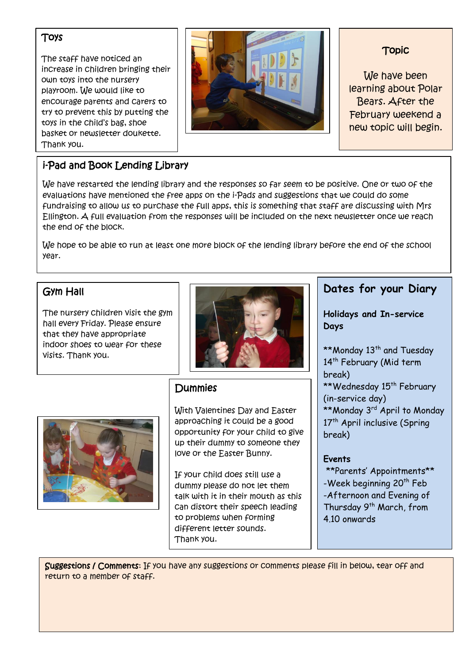#### Toys

The staff have noticed an increase in children bringing their own toys into the nursery playroom. We would like to encourage parents and carers to try to prevent this by putting the toys in the child's bag, shoe basket or newsletter doukette. Thank you.



## Topic

We have been learning about Polar Bears. After the February weekend a new topic will begin.

# i-Pad and Book Lending Library

We have restarted the lending library and the responses so far seem to be positive. One or two of the evaluations have mentioned the free apps on the i-Pads and suggestions that we could do some fundraising to allow us to purchase the full apps, this is something that staff are discussing with Mrs Ellington. A full evaluation from the responses will be included on the next newsletter once we reach the end of the block.

We hope to be able to run at least one more block of the lending library before the end of the school year.

## Gym Hall

The nursery children visit the gym hall every Friday. Please ensure that they have appropriate indoor shoes to wear for these visits. Thank you.





# Dummies

With Valentines Day and Easter approaching it could be a good opportunity for your child to give up their dummy to someone they love or the Easter Bunny.

If your child does still use a dummy please do not let them talk with it in their mouth as this can distort their speech leading to problems when forming different letter sounds. Thank you.

## **Dates for your Diary**

**Holidays and In-service Days**

\*\*Monday 13<sup>th</sup> and Tuesday 14<sup>th</sup> February (Mid term break) \*\*Wednesday 15<sup>th</sup> February (in-service day) \*\*Monday 3<sup>rd</sup> April to Monday 17<sup>th</sup> April inclusive (Spring break)

#### **Events**

\*\*Parents' Appointments\*\* -Week beginning 20<sup>th</sup> Feb -Afternoon and Evening of Thursday 9<sup>th</sup> March, from 4.10 onwards

Suggestions / Comments: If you have any suggestions or comments please fill in below, tear off and return to a member of staff.